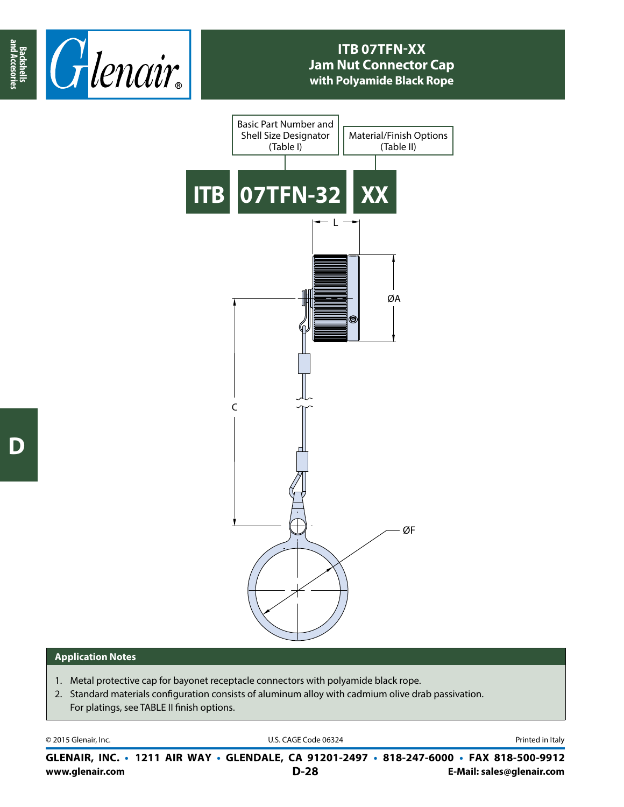

## **ITB 07TFN-XX Jam Nut Connector Cap with Polyamide Black Rope**



## **Application Notes**

- 1. Metal protective cap for bayonet receptacle connectors with polyamide black rope.
- 2. Standard materials configuration consists of aluminum alloy with cadmium olive drab passivation. For platings, see TABLE II finish options.

© 2015 Glenair, Inc. **Discription Construction Construction Construction Construction Construction Construction Construction Construction Construction Construction Construction Construction Construction Construction Constr** 

**www.glenair.com E-Mail: sales@glenair.com GLENAIR, INC. • 1211 AIR WAY • GLENDALE, CA 91201-2497 • 818-247-6000 • FAX 818-500-9912 D-28**